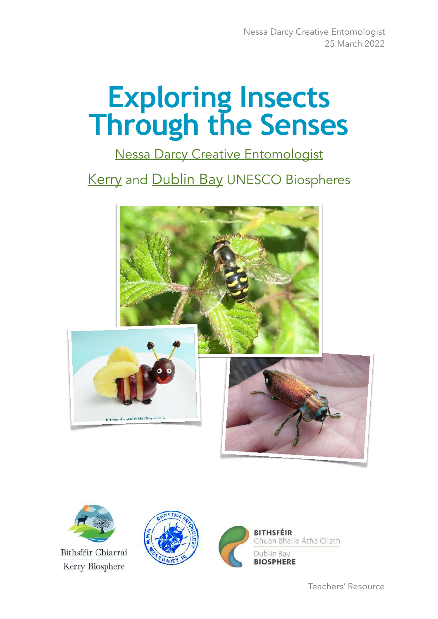# **Exploring Insects Through the Senses**

[Nessa Darcy Creative Entomologist](http://www.heritageinschools.ie/heritage-expert/profile/nessa-darcy)

**[Kerry](https://kerrybiosphere.ie) and [Dublin Bay](https://www.dublinbaybiosphere.ie) UNESCO Biospheres** 





Bithsféir Chiarraí Kerry Biosphere





Teachers' Resource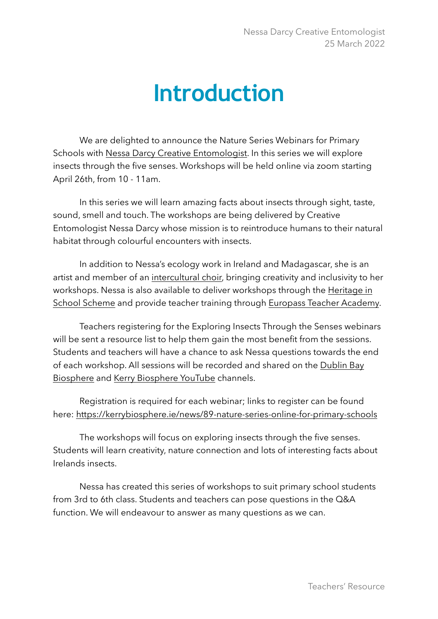# **Introduction**

We are delighted to announce the Nature Series Webinars for Primary Schools with [Nessa Darcy Creative Entomologist.](https://www.nessadarcy.ie) In this series we will explore insects through the five senses. Workshops will be held online via zoom starting April 26th, from 10 - 11am.

In this series we will learn amazing facts about insects through sight, taste, sound, smell and touch. The workshops are being delivered by Creative Entomologist Nessa Darcy whose mission is to reintroduce humans to their natural habitat through colourful encounters with insects.

In addition to Nessa's ecology work in Ireland and Madagascar, she is an artist and member of an [intercultural choir](https://discoverygospelchoir.ie/workshops/workshop-resources/), bringing creativity and inclusivity to her workshops. Nessa is also available to deliver workshops through the [Heritage in](http://www.heritageinschools.ie/heritage-expert/profile/nessa-darcy)  [School Scheme](http://www.heritageinschools.ie/heritage-expert/profile/nessa-darcy) and provide teacher training through [Europass Teacher Academy.](https://www.teacheracademy.eu/course/biodiversity-and-ecology/)

Teachers registering for the Exploring Insects Through the Senses webinars will be sent a resource list to help them gain the most benefit from the sessions. Students and teachers will have a chance to ask Nessa questions towards the end of each workshop. All sessions will be recorded and shared on the [Dublin Bay](https://www.youtube.com/channel/UCMe-VbeWGDIx4D_rraS869Q)  [Biosphere](https://www.youtube.com/channel/UCMe-VbeWGDIx4D_rraS869Q) and [Kerry Biosphere YouTube](https://www.youtube.com/channel/UCpzc-9YJUPA-fHu-5U_szAQ) channels.

Registration is required for each webinar; links to register can be found here:<https://kerrybiosphere.ie/news/89-nature-series-online-for-primary-schools>

The workshops will focus on exploring insects through the five senses. Students will learn creativity, nature connection and lots of interesting facts about Irelands insects.

Nessa has created this series of workshops to suit primary school students from 3rd to 6th class. Students and teachers can pose questions in the Q&A function. We will endeavour to answer as many questions as we can.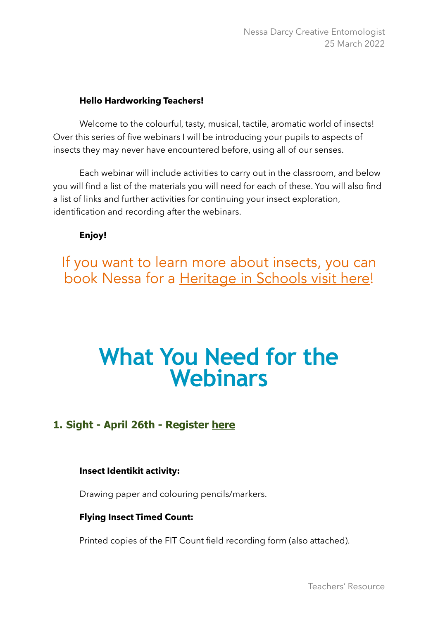#### **Hello Hardworking Teachers!**

Welcome to the colourful, tasty, musical, tactile, aromatic world of insects! Over this series of five webinars I will be introducing your pupils to aspects of insects they may never have encountered before, using all of our senses.

Each webinar will include activities to carry out in the classroom, and below you will find a list of the materials you will need for each of these. You will also find a list of links and further activities for continuing your insect exploration, identification and recording after the webinars.

**Enjoy!**

If you want to learn more about insects, you can book Nessa for a [Heritage in Schools visit here](http://www.heritageinschools.ie/heritage-expert/profile/nessa-darcy)!

# **What You Need for the Webinars**

# **1. Sight - April 26th - Register [here](https://skdp-net.zoom.us/webinar/register/6016457005978/WN_-n5IzhmoR46VQFslu0x5cg)**

#### **Insect Identikit activity:**

Drawing paper and colouring pencils/markers.

#### **Flying Insect Timed Count:**

Printed copies of the FIT Count field recording form (also attached).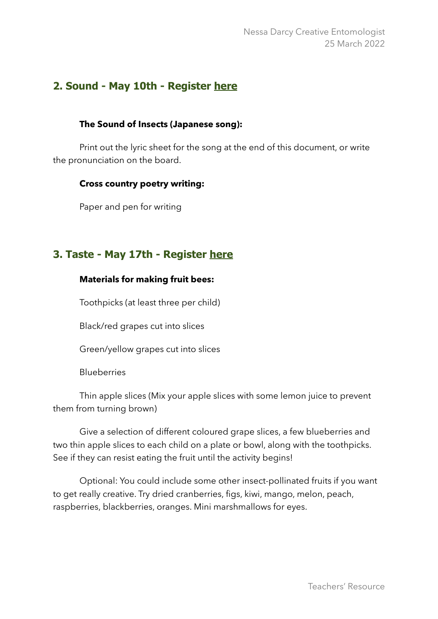## **2. Sound - May 10th - Register [here](https://skdp-net.zoom.us/webinar/register/3716457008308/WN_WLlxa1tlQ2m09ikCNQWhBA)**

#### **The Sound of Insects (Japanese song):**

Print out the lyric sheet for the song at the end of this document, or write the pronunciation on the board.

#### **Cross country poetry writing:**

Paper and pen for writing

# **3. Taste - May 17th - Register [here](https://skdp-net.zoom.us/webinar/register/2516457009098/WN_0CEFqN5oSGquET3h1SG4hA)**

#### **Materials for making fruit bees:**

Toothpicks (at least three per child)

Black/red grapes cut into slices

Green/yellow grapes cut into slices

Blueberries

Thin apple slices (Mix your apple slices with some lemon juice to prevent them from turning brown)

Give a selection of different coloured grape slices, a few blueberries and two thin apple slices to each child on a plate or bowl, along with the toothpicks. See if they can resist eating the fruit until the activity begins!

Optional: You could include some other insect-pollinated fruits if you want to get really creative. Try dried cranberries, figs, kiwi, mango, melon, peach, raspberries, blackberries, oranges. Mini marshmallows for eyes.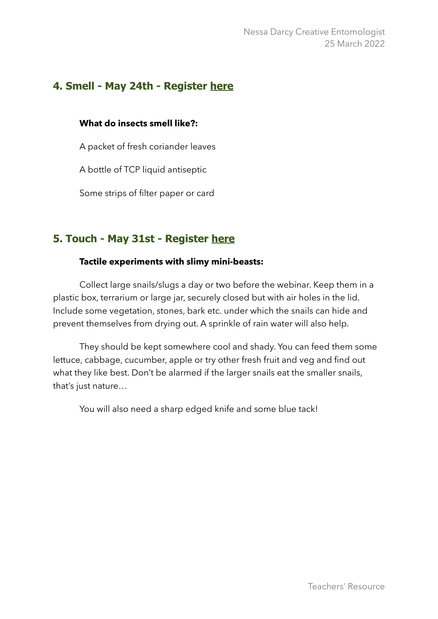# **4. Smell - May 24th - Register [here](https://skdp-net.zoom.us/webinar/register/9516457010200/WN_n7y3qb9WRjGRlZ9b2-avmg)**

#### **What do insects smell like?:**

A packet of fresh coriander leaves

A bottle of TCP liquid antiseptic

Some strips of filter paper or card

# **5. Touch - May 31st - Register [here](https://skdp-net.zoom.us/webinar/register/3016457011571/WN_y-7wtlzjT2iWk627QaDe0w)**

#### **Tactile experiments with slimy mini-beasts:**

Collect large snails/slugs a day or two before the webinar. Keep them in a plastic box, terrarium or large jar, securely closed but with air holes in the lid. Include some vegetation, stones, bark etc. under which the snails can hide and prevent themselves from drying out. A sprinkle of rain water will also help.

They should be kept somewhere cool and shady. You can feed them some lettuce, cabbage, cucumber, apple or try other fresh fruit and veg and find out what they like best. Don't be alarmed if the larger snails eat the smaller snails, that's just nature…

You will also need a sharp edged knife and some blue tack!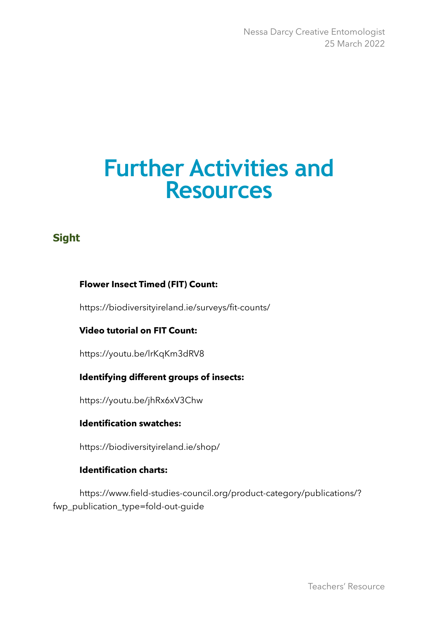Nessa Darcy Creative Entomologist 25 March 2022

# **Further Activities and Resources**

# **Sight**

#### **Flower Insect Timed (FIT) Count:**

<https://biodiversityireland.ie/surveys/fit-counts/>

#### **Video tutorial on FIT Count:**

<https://youtu.be/lrKqKm3dRV8>

#### **Identifying different groups of insects:**

<https://youtu.be/jhRx6xV3Chw>

#### **Identification swatches:**

https://biodiversityireland.ie/shop/

#### **Identification charts:**

[https://www.field-studies-council.org/product-category/publications/?](https://www.field-studies-council.org/product-category/publications/?fwp_publication_type=fold-out-guide) [fwp\\_publication\\_type=fold-out-guide](https://www.field-studies-council.org/product-category/publications/?fwp_publication_type=fold-out-guide)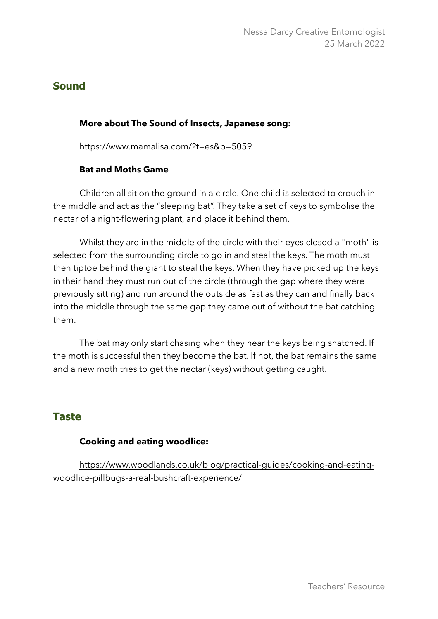### **Sound**

#### **More about The Sound of Insects, Japanese song:**

<https://www.mamalisa.com/?t=es&p=5059>

#### **Bat and Moths Game**

Children all sit on the ground in a circle. One child is selected to crouch in the middle and act as the "sleeping bat". They take a set of keys to symbolise the nectar of a night-flowering plant, and place it behind them.

Whilst they are in the middle of the circle with their eyes closed a "moth" is selected from the surrounding circle to go in and steal the keys. The moth must then tiptoe behind the giant to steal the keys. When they have picked up the keys in their hand they must run out of the circle (through the gap where they were previously sitting) and run around the outside as fast as they can and finally back into the middle through the same gap they came out of without the bat catching them.

The bat may only start chasing when they hear the keys being snatched. If the moth is successful then they become the bat. If not, the bat remains the same and a new moth tries to get the nectar (keys) without getting caught.

## **Taste**

#### **Cooking and eating woodlice:**

[https://www.woodlands.co.uk/blog/practical-guides/cooking-and-eating](https://www.woodlands.co.uk/blog/practical-guides/cooking-and-eating-woodlice-pillbugs-a-real-bushcraft-experience/)[woodlice-pillbugs-a-real-bushcraft-experience/](https://www.woodlands.co.uk/blog/practical-guides/cooking-and-eating-woodlice-pillbugs-a-real-bushcraft-experience/)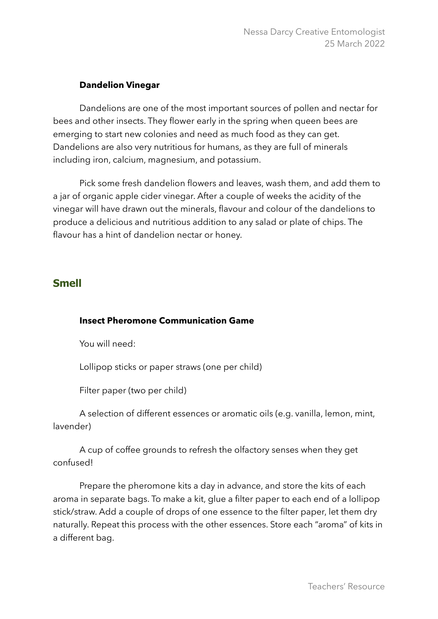#### **Dandelion Vinegar**

Dandelions are one of the most important sources of pollen and nectar for bees and other insects. They flower early in the spring when queen bees are emerging to start new colonies and need as much food as they can get. Dandelions are also very nutritious for humans, as they are full of minerals including iron, calcium, magnesium, and potassium.

Pick some fresh dandelion flowers and leaves, wash them, and add them to a jar of organic apple cider vinegar. After a couple of weeks the acidity of the vinegar will have drawn out the minerals, flavour and colour of the dandelions to produce a delicious and nutritious addition to any salad or plate of chips. The flavour has a hint of dandelion nectar or honey.

### **Smell**

#### **Insect Pheromone Communication Game**

You will need:

Lollipop sticks or paper straws (one per child)

Filter paper (two per child)

A selection of different essences or aromatic oils (e.g. vanilla, lemon, mint, lavender)

A cup of coffee grounds to refresh the olfactory senses when they get confused!

Prepare the pheromone kits a day in advance, and store the kits of each aroma in separate bags. To make a kit, glue a filter paper to each end of a lollipop stick/straw. Add a couple of drops of one essence to the filter paper, let them dry naturally. Repeat this process with the other essences. Store each "aroma" of kits in a different bag.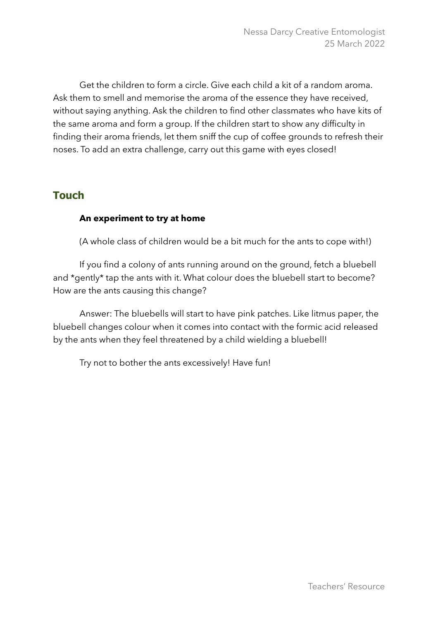Get the children to form a circle. Give each child a kit of a random aroma. Ask them to smell and memorise the aroma of the essence they have received, without saying anything. Ask the children to find other classmates who have kits of the same aroma and form a group. If the children start to show any difficulty in finding their aroma friends, let them sniff the cup of coffee grounds to refresh their noses. To add an extra challenge, carry out this game with eyes closed!

# **Touch**

#### **An experiment to try at home**

(A whole class of children would be a bit much for the ants to cope with!)

If you find a colony of ants running around on the ground, fetch a bluebell and \*gently\* tap the ants with it. What colour does the bluebell start to become? How are the ants causing this change?

Answer: The bluebells will start to have pink patches. Like litmus paper, the bluebell changes colour when it comes into contact with the formic acid released by the ants when they feel threatened by a child wielding a bluebell!

Try not to bother the ants excessively! Have fun!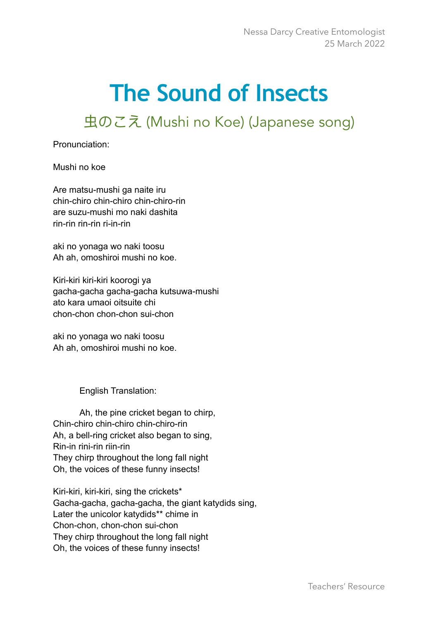# **The Sound of Insects**

虫のこえ (Mushi no Koe) (Japanese song)

Pronunciation:

Mushi no koe

Are matsu-mushi ga naite iru chin-chiro chin-chiro chin-chiro-rin are suzu-mushi mo naki dashita rin-rin rin-rin ri-in-rin

aki no yonaga wo naki toosu Ah ah, omoshiroi mushi no koe.

Kiri-kiri kiri-kiri koorogi ya gacha-gacha gacha-gacha kutsuwa-mushi ato kara umaoi oitsuite chi chon-chon chon-chon sui-chon

aki no yonaga wo naki toosu Ah ah, omoshiroi mushi no koe.

English Translation:

Ah, the pine cricket began to chirp, Chin-chiro chin-chiro chin-chiro-rin Ah, a bell-ring cricket also began to sing, Rin-in rini-rin riin-rin They chirp throughout the long fall night Oh, the voices of these funny insects!

Kiri-kiri, kiri-kiri, sing the crickets\* Gacha-gacha, gacha-gacha, the giant katydids sing, Later the unicolor katydids\*\* chime in Chon-chon, chon-chon sui-chon They chirp throughout the long fall night Oh, the voices of these funny insects!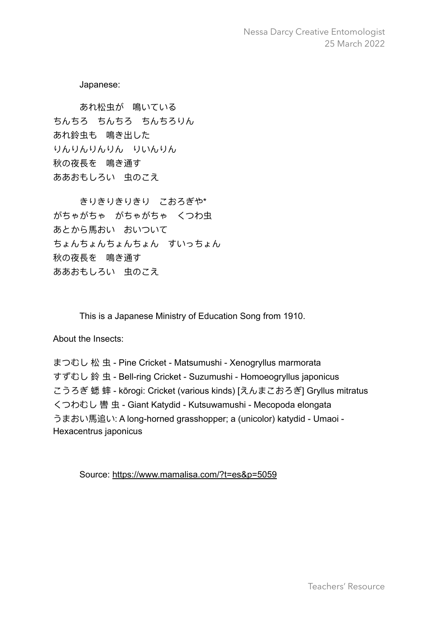Nessa Darcy Creative Entomologist 25 March 2022

Japanese:

あれ松⾍が 鳴いている ちんちろ ちんちろ ちんちろりん あれ鈴虫も 鳴き出した りんりんりんりん りいんりん 秋の夜長を 鳴き通す ああおもしろい 虫のこえ

きりきりきりきり こおろぎや\* がちゃがちゃ がちゃがちゃ くつわ⾍ あとから馬おい おいついて ちょんちょんちょんちょん すいっちょん 秋の夜長を 鳴き通す ああおもしろい 虫のこえ

This is a Japanese Ministry of Education Song from 1910.

About the Insects:

まつむし 松 虫 - Pine Cricket - Matsumushi - Xenogryllus marmorata すずむし 鈴 ⾍ - Bell-ring Cricket - Suzumushi - Homoeogryllus japonicus こうろぎ 蟋 蟀 - kōrogi: Cricket (various kinds) [えんまこおろぎ] Gryllus mitratus くつわむし 轡 ⾍ - Giant Katydid - Kutsuwamushi - Mecopoda elongata うまおい馬追い: A long-horned grasshopper; a (unicolor) katydid - Umaoi -Hexacentrus japonicus

Source: <https://www.mamalisa.com/?t=es&p=5059>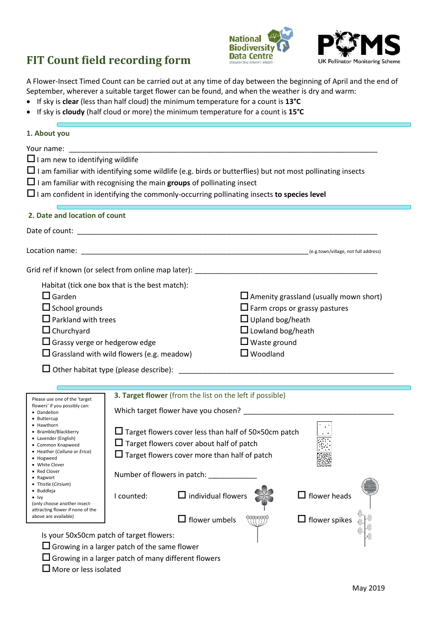# **FIT Count field recording form**





A Flower-Insect Timed Count can be carried out at any time of day between the beginning of April and the end of September, wherever a suitable target flower can be found, and when the weather is dry and warm:

- If sky is **clear** (less than half cloud) the minimum temperature for a count is **13°C**
- If sky is **cloudy** (half cloud or more) the minimum temperature for a count is **15°C**

| 1. About you                                                                                                                                                                                                                                                                                                                                                                                                                                                              |                                                                                                                                                                                                                                                                                                                                                                                     |                                                                                                                                                                                        |
|---------------------------------------------------------------------------------------------------------------------------------------------------------------------------------------------------------------------------------------------------------------------------------------------------------------------------------------------------------------------------------------------------------------------------------------------------------------------------|-------------------------------------------------------------------------------------------------------------------------------------------------------------------------------------------------------------------------------------------------------------------------------------------------------------------------------------------------------------------------------------|----------------------------------------------------------------------------------------------------------------------------------------------------------------------------------------|
| $\Box$ I am new to identifying wildlife                                                                                                                                                                                                                                                                                                                                                                                                                                   | $\Box$ I am familiar with recognising the main groups of pollinating insect<br>$\Box$ I am confident in identifying the commonly-occurring pollinating insects to species level                                                                                                                                                                                                     | $\Box$ I am familiar with identifying some wildlife (e.g. birds or butterflies) but not most pollinating insects                                                                       |
| 2. Date and location of count                                                                                                                                                                                                                                                                                                                                                                                                                                             |                                                                                                                                                                                                                                                                                                                                                                                     |                                                                                                                                                                                        |
|                                                                                                                                                                                                                                                                                                                                                                                                                                                                           |                                                                                                                                                                                                                                                                                                                                                                                     |                                                                                                                                                                                        |
|                                                                                                                                                                                                                                                                                                                                                                                                                                                                           |                                                                                                                                                                                                                                                                                                                                                                                     |                                                                                                                                                                                        |
|                                                                                                                                                                                                                                                                                                                                                                                                                                                                           | Grid ref if known (or select from online map later): entitled and the control of the control of the control of                                                                                                                                                                                                                                                                      |                                                                                                                                                                                        |
| $\Box$ Garden<br>$\Box$ School grounds<br>$\Box$ Parkland with trees<br>$\Box$ Churchyard<br>$\Box$ Grassy verge or hedgerow edge                                                                                                                                                                                                                                                                                                                                         | Habitat (tick one box that is the best match):<br>$\Box$ Grassland with wild flowers (e.g. meadow)                                                                                                                                                                                                                                                                                  | $\Box$ Amenity grassland (usually mown short)<br>$\Box$ Farm crops or grassy pastures<br>$\Box$ Upland bog/heath<br>$\Box$ Lowland bog/heath<br>$\Box$ Waste ground<br>$\Box$ Woodland |
| Please use one of the 'target<br>flowers' if you possibly can:<br>• Dandelion<br>• Buttercup<br>• Hawthorn<br>• Bramble/Blackberry<br>• Lavender (English)<br>• Common Knapweed<br>• Heather (Calluna or Erica)<br>• Hogweed<br>• White Clover<br>• Red Clover<br>• Ragwort<br>• Thistle (Cirsium)<br>• Buddleja<br>$\bullet$ lvy<br>(only choose another insect-<br>attracting flower if none of the<br>above are available)<br>Is your 50x50cm patch of target flowers: | 3. Target flower (from the list on the left if possible)<br>$\Box$ Target flowers cover less than half of 50×50cm patch<br>$\Box$ Target flowers cover about half of patch<br>$\Box$ Target flowers cover more than half of patch<br>Number of flowers in patch:<br>$\Box$ individual flowers<br>I counted:<br>flower umbels<br>$\Box$ Growing in a larger patch of the same flower | $\Box$ flower heads<br>$\Box$ flower spikes                                                                                                                                            |
| $\Box$ More or less isolated                                                                                                                                                                                                                                                                                                                                                                                                                                              | $\Box$ Growing in a larger patch of many different flowers                                                                                                                                                                                                                                                                                                                          |                                                                                                                                                                                        |